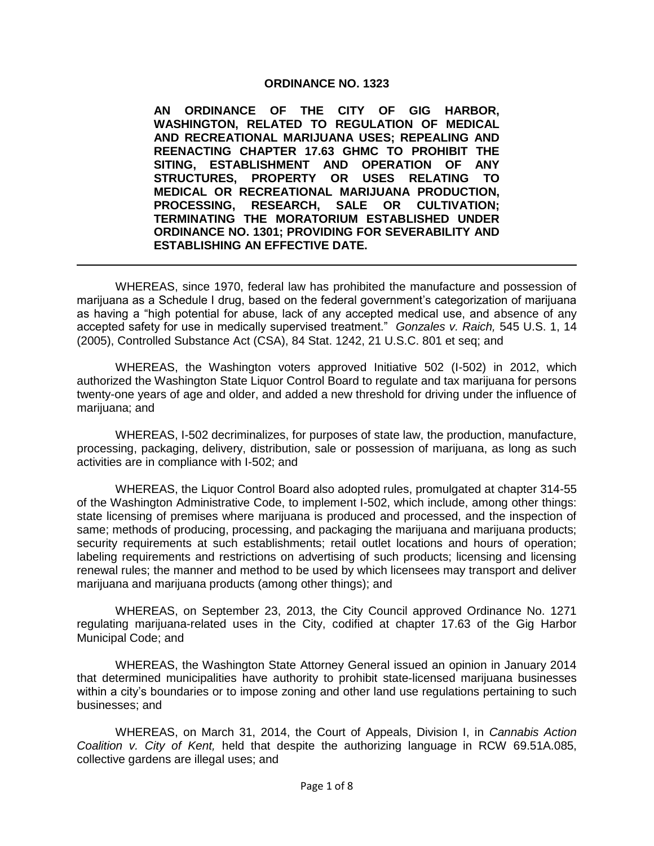#### **ORDINANCE NO. 1323**

**AN ORDINANCE OF THE CITY OF GIG HARBOR, WASHINGTON, RELATED TO REGULATION OF MEDICAL AND RECREATIONAL MARIJUANA USES; REPEALING AND REENACTING CHAPTER 17.63 GHMC TO PROHIBIT THE SITING, ESTABLISHMENT AND OPERATION OF ANY STRUCTURES, PROPERTY OR USES RELATING TO MEDICAL OR RECREATIONAL MARIJUANA PRODUCTION, PROCESSING, RESEARCH, SALE OR CULTIVATION; TERMINATING THE MORATORIUM ESTABLISHED UNDER ORDINANCE NO. 1301; PROVIDING FOR SEVERABILITY AND ESTABLISHING AN EFFECTIVE DATE.**

WHEREAS, since 1970, federal law has prohibited the manufacture and possession of marijuana as a Schedule I drug, based on the federal government's categorization of marijuana as having a "high potential for abuse, lack of any accepted medical use, and absence of any accepted safety for use in medically supervised treatment." *Gonzales v. Raich,* 545 U.S. 1, 14 (2005), Controlled Substance Act (CSA), 84 Stat. 1242, 21 U.S.C. 801 et seq; and

WHEREAS, the Washington voters approved Initiative 502 (I-502) in 2012, which authorized the Washington State Liquor Control Board to regulate and tax marijuana for persons twenty-one years of age and older, and added a new threshold for driving under the influence of marijuana; and

WHEREAS, I-502 decriminalizes, for purposes of state law, the production, manufacture, processing, packaging, delivery, distribution, sale or possession of marijuana, as long as such activities are in compliance with I-502; and

WHEREAS, the Liquor Control Board also adopted rules, promulgated at chapter 314-55 of the Washington Administrative Code, to implement I-502, which include, among other things: state licensing of premises where marijuana is produced and processed, and the inspection of same; methods of producing, processing, and packaging the marijuana and marijuana products; security requirements at such establishments; retail outlet locations and hours of operation; labeling requirements and restrictions on advertising of such products; licensing and licensing renewal rules; the manner and method to be used by which licensees may transport and deliver marijuana and marijuana products (among other things); and

WHEREAS, on September 23, 2013, the City Council approved Ordinance No. 1271 regulating marijuana-related uses in the City, codified at chapter 17.63 of the Gig Harbor Municipal Code; and

WHEREAS, the Washington State Attorney General issued an opinion in January 2014 that determined municipalities have authority to prohibit state-licensed marijuana businesses within a city's boundaries or to impose zoning and other land use regulations pertaining to such businesses; and

WHEREAS, on March 31, 2014, the Court of Appeals, Division I, in *Cannabis Action Coalition v. City of Kent,* held that despite the authorizing language in RCW 69.51A.085, collective gardens are illegal uses; and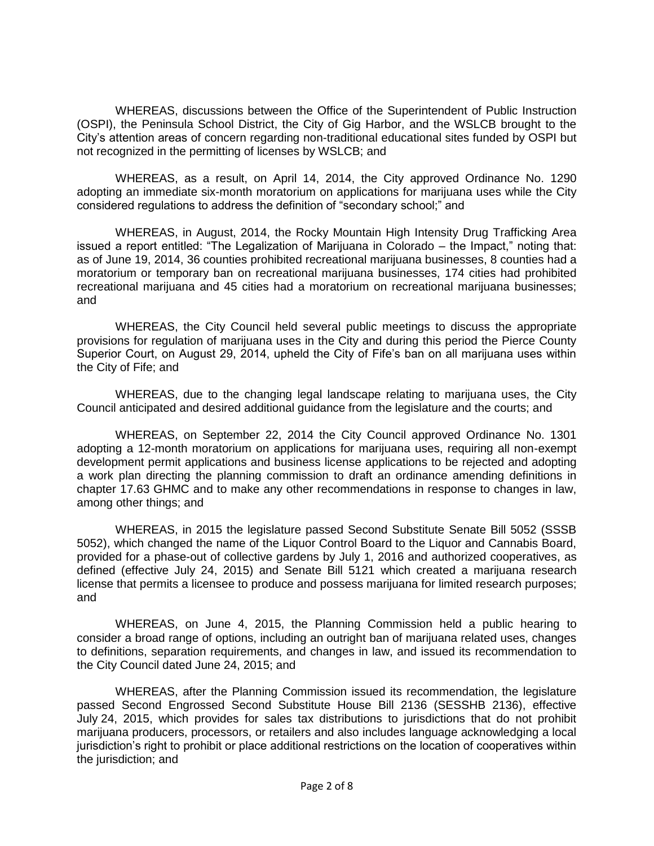WHEREAS, discussions between the Office of the Superintendent of Public Instruction (OSPI), the Peninsula School District, the City of Gig Harbor, and the WSLCB brought to the City's attention areas of concern regarding non-traditional educational sites funded by OSPI but not recognized in the permitting of licenses by WSLCB; and

WHEREAS, as a result, on April 14, 2014, the City approved Ordinance No. 1290 adopting an immediate six-month moratorium on applications for marijuana uses while the City considered regulations to address the definition of "secondary school;" and

WHEREAS, in August, 2014, the Rocky Mountain High Intensity Drug Trafficking Area issued a report entitled: "The Legalization of Marijuana in Colorado – the Impact," noting that: as of June 19, 2014, 36 counties prohibited recreational marijuana businesses, 8 counties had a moratorium or temporary ban on recreational marijuana businesses, 174 cities had prohibited recreational marijuana and 45 cities had a moratorium on recreational marijuana businesses; and

WHEREAS, the City Council held several public meetings to discuss the appropriate provisions for regulation of marijuana uses in the City and during this period the Pierce County Superior Court, on August 29, 2014, upheld the City of Fife's ban on all marijuana uses within the City of Fife; and

WHEREAS, due to the changing legal landscape relating to marijuana uses, the City Council anticipated and desired additional guidance from the legislature and the courts; and

WHEREAS, on September 22, 2014 the City Council approved Ordinance No. 1301 adopting a 12-month moratorium on applications for marijuana uses, requiring all non-exempt development permit applications and business license applications to be rejected and adopting a work plan directing the planning commission to draft an ordinance amending definitions in chapter 17.63 GHMC and to make any other recommendations in response to changes in law, among other things; and

WHEREAS, in 2015 the legislature passed Second Substitute Senate Bill 5052 (SSSB 5052), which changed the name of the Liquor Control Board to the Liquor and Cannabis Board, provided for a phase-out of collective gardens by July 1, 2016 and authorized cooperatives, as defined (effective July 24, 2015) and Senate Bill 5121 which created a marijuana research license that permits a licensee to produce and possess marijuana for limited research purposes; and

WHEREAS, on June 4, 2015, the Planning Commission held a public hearing to consider a broad range of options, including an outright ban of marijuana related uses, changes to definitions, separation requirements, and changes in law, and issued its recommendation to the City Council dated June 24, 2015; and

WHEREAS, after the Planning Commission issued its recommendation, the legislature passed Second Engrossed Second Substitute House Bill 2136 (SESSHB 2136), effective July 24, 2015, which provides for sales tax distributions to jurisdictions that do not prohibit marijuana producers, processors, or retailers and also includes language acknowledging a local jurisdiction's right to prohibit or place additional restrictions on the location of cooperatives within the jurisdiction; and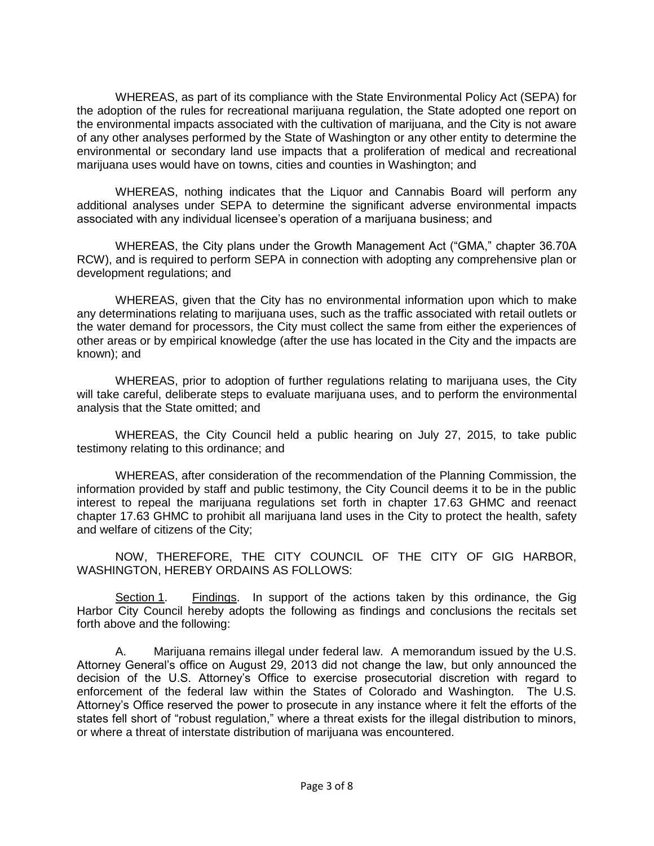WHEREAS, as part of its compliance with the State Environmental Policy Act (SEPA) for the adoption of the rules for recreational marijuana regulation, the State adopted one report on the environmental impacts associated with the cultivation of marijuana, and the City is not aware of any other analyses performed by the State of Washington or any other entity to determine the environmental or secondary land use impacts that a proliferation of medical and recreational marijuana uses would have on towns, cities and counties in Washington; and

WHEREAS, nothing indicates that the Liquor and Cannabis Board will perform any additional analyses under SEPA to determine the significant adverse environmental impacts associated with any individual licensee's operation of a marijuana business; and

WHEREAS, the City plans under the Growth Management Act ("GMA," chapter 36.70A RCW), and is required to perform SEPA in connection with adopting any comprehensive plan or development regulations; and

WHEREAS, given that the City has no environmental information upon which to make any determinations relating to marijuana uses, such as the traffic associated with retail outlets or the water demand for processors, the City must collect the same from either the experiences of other areas or by empirical knowledge (after the use has located in the City and the impacts are known); and

WHEREAS, prior to adoption of further regulations relating to marijuana uses, the City will take careful, deliberate steps to evaluate marijuana uses, and to perform the environmental analysis that the State omitted; and

WHEREAS, the City Council held a public hearing on July 27, 2015, to take public testimony relating to this ordinance; and

WHEREAS, after consideration of the recommendation of the Planning Commission, the information provided by staff and public testimony, the City Council deems it to be in the public interest to repeal the marijuana regulations set forth in chapter 17.63 GHMC and reenact chapter 17.63 GHMC to prohibit all marijuana land uses in the City to protect the health, safety and welfare of citizens of the City;

NOW, THEREFORE, THE CITY COUNCIL OF THE CITY OF GIG HARBOR, WASHINGTON, HEREBY ORDAINS AS FOLLOWS:

Section 1. Findings. In support of the actions taken by this ordinance, the Gig Harbor City Council hereby adopts the following as findings and conclusions the recitals set forth above and the following:

A. Marijuana remains illegal under federal law. A memorandum issued by the U.S. Attorney General's office on August 29, 2013 did not change the law, but only announced the decision of the U.S. Attorney's Office to exercise prosecutorial discretion with regard to enforcement of the federal law within the States of Colorado and Washington. The U.S. Attorney's Office reserved the power to prosecute in any instance where it felt the efforts of the states fell short of "robust regulation," where a threat exists for the illegal distribution to minors, or where a threat of interstate distribution of marijuana was encountered.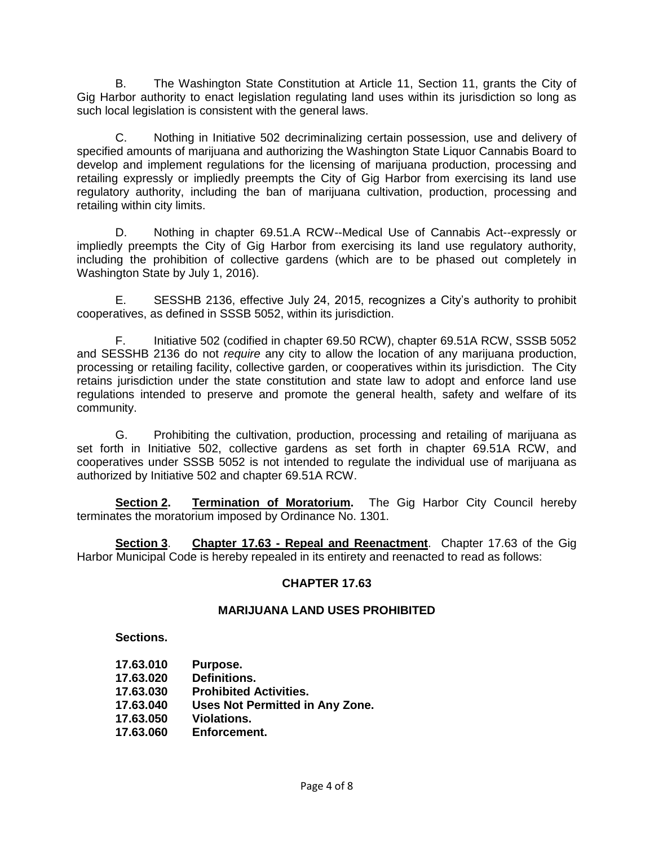B. The Washington State Constitution at Article 11, Section 11, grants the City of Gig Harbor authority to enact legislation regulating land uses within its jurisdiction so long as such local legislation is consistent with the general laws.

C. Nothing in Initiative 502 decriminalizing certain possession, use and delivery of specified amounts of marijuana and authorizing the Washington State Liquor Cannabis Board to develop and implement regulations for the licensing of marijuana production, processing and retailing expressly or impliedly preempts the City of Gig Harbor from exercising its land use regulatory authority, including the ban of marijuana cultivation, production, processing and retailing within city limits.

D. Nothing in chapter 69.51.A RCW--Medical Use of Cannabis Act--expressly or impliedly preempts the City of Gig Harbor from exercising its land use regulatory authority, including the prohibition of collective gardens (which are to be phased out completely in Washington State by July 1, 2016).

E. SESSHB 2136, effective July 24, 2015, recognizes a City's authority to prohibit cooperatives, as defined in SSSB 5052, within its jurisdiction.

F. Initiative 502 (codified in chapter 69.50 RCW), chapter 69.51A RCW, SSSB 5052 and SESSHB 2136 do not *require* any city to allow the location of any marijuana production, processing or retailing facility, collective garden, or cooperatives within its jurisdiction. The City retains jurisdiction under the state constitution and state law to adopt and enforce land use regulations intended to preserve and promote the general health, safety and welfare of its community.

G. Prohibiting the cultivation, production, processing and retailing of marijuana as set forth in Initiative 502, collective gardens as set forth in chapter 69.51A RCW, and cooperatives under SSSB 5052 is not intended to regulate the individual use of marijuana as authorized by Initiative 502 and chapter 69.51A RCW.

**Section 2. Termination of Moratorium.** The Gig Harbor City Council hereby terminates the moratorium imposed by Ordinance No. 1301.

**Section 3**. **Chapter 17.63 - Repeal and Reenactment**. Chapter 17.63 of the Gig Harbor Municipal Code is hereby repealed in its entirety and reenacted to read as follows:

## **CHAPTER 17.63**

#### **MARIJUANA LAND USES PROHIBITED**

**Sections.**

- **17.63.010 Purpose.**
- **17.63.020 Definitions.**
- **17.63.030 Prohibited Activities.**
- **17.63.040 Uses Not Permitted in Any Zone.**
- **17.63.050 Violations.**
- **17.63.060 Enforcement.**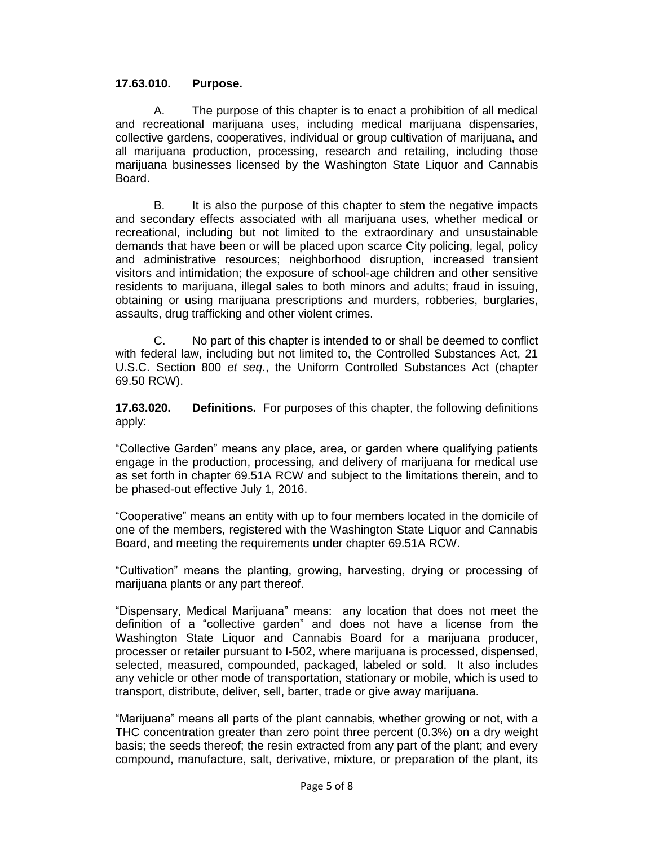### **17.63.010. Purpose.**

A. The purpose of this chapter is to enact a prohibition of all medical and recreational marijuana uses, including medical marijuana dispensaries, collective gardens, cooperatives, individual or group cultivation of marijuana, and all marijuana production, processing, research and retailing, including those marijuana businesses licensed by the Washington State Liquor and Cannabis Board.

B. It is also the purpose of this chapter to stem the negative impacts and secondary effects associated with all marijuana uses, whether medical or recreational, including but not limited to the extraordinary and unsustainable demands that have been or will be placed upon scarce City policing, legal, policy and administrative resources; neighborhood disruption, increased transient visitors and intimidation; the exposure of school-age children and other sensitive residents to marijuana, illegal sales to both minors and adults; fraud in issuing, obtaining or using marijuana prescriptions and murders, robberies, burglaries, assaults, drug trafficking and other violent crimes.

C. No part of this chapter is intended to or shall be deemed to conflict with federal law, including but not limited to, the Controlled Substances Act, 21 U.S.C. Section 800 *et seq.*, the Uniform Controlled Substances Act (chapter 69.50 RCW).

**17.63.020. Definitions.** For purposes of this chapter, the following definitions apply:

"Collective Garden" means any place, area, or garden where qualifying patients engage in the production, processing, and delivery of marijuana for medical use as set forth in chapter 69.51A RCW and subject to the limitations therein, and to be phased-out effective July 1, 2016.

"Cooperative" means an entity with up to four members located in the domicile of one of the members, registered with the Washington State Liquor and Cannabis Board, and meeting the requirements under chapter 69.51A RCW.

"Cultivation" means the planting, growing, harvesting, drying or processing of marijuana plants or any part thereof.

"Dispensary, Medical Marijuana" means: any location that does not meet the definition of a "collective garden" and does not have a license from the Washington State Liquor and Cannabis Board for a marijuana producer, processer or retailer pursuant to I-502, where marijuana is processed, dispensed, selected, measured, compounded, packaged, labeled or sold. It also includes any vehicle or other mode of transportation, stationary or mobile, which is used to transport, distribute, deliver, sell, barter, trade or give away marijuana.

"Marijuana" means all parts of the plant cannabis, whether growing or not, with a THC concentration greater than zero point three percent (0.3%) on a dry weight basis; the seeds thereof; the resin extracted from any part of the plant; and every compound, manufacture, salt, derivative, mixture, or preparation of the plant, its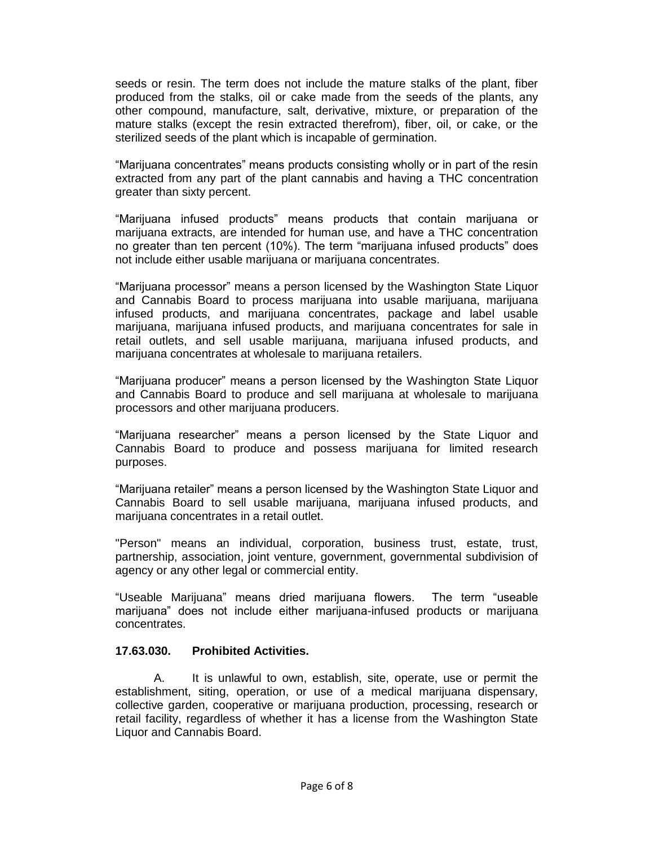seeds or resin. The term does not include the mature stalks of the plant, fiber produced from the stalks, oil or cake made from the seeds of the plants, any other compound, manufacture, salt, derivative, mixture, or preparation of the mature stalks (except the resin extracted therefrom), fiber, oil, or cake, or the sterilized seeds of the plant which is incapable of germination.

"Marijuana concentrates" means products consisting wholly or in part of the resin extracted from any part of the plant cannabis and having a THC concentration greater than sixty percent.

"Marijuana infused products" means products that contain marijuana or marijuana extracts, are intended for human use, and have a THC concentration no greater than ten percent (10%). The term "marijuana infused products" does not include either usable marijuana or marijuana concentrates.

"Marijuana processor" means a person licensed by the Washington State Liquor and Cannabis Board to process marijuana into usable marijuana, marijuana infused products, and marijuana concentrates, package and label usable marijuana, marijuana infused products, and marijuana concentrates for sale in retail outlets, and sell usable marijuana, marijuana infused products, and marijuana concentrates at wholesale to marijuana retailers.

"Marijuana producer" means a person licensed by the Washington State Liquor and Cannabis Board to produce and sell marijuana at wholesale to marijuana processors and other marijuana producers.

"Marijuana researcher" means a person licensed by the State Liquor and Cannabis Board to produce and possess marijuana for limited research purposes.

"Marijuana retailer" means a person licensed by the Washington State Liquor and Cannabis Board to sell usable marijuana, marijuana infused products, and marijuana concentrates in a retail outlet.

"Person" means an individual, corporation, business trust, estate, trust, partnership, association, joint venture, government, governmental subdivision of agency or any other legal or commercial entity.

"Useable Marijuana" means dried marijuana flowers. The term "useable marijuana" does not include either marijuana-infused products or marijuana concentrates.

#### **17.63.030. Prohibited Activities.**

A. It is unlawful to own, establish, site, operate, use or permit the establishment, siting, operation, or use of a medical marijuana dispensary, collective garden, cooperative or marijuana production, processing, research or retail facility, regardless of whether it has a license from the Washington State Liquor and Cannabis Board.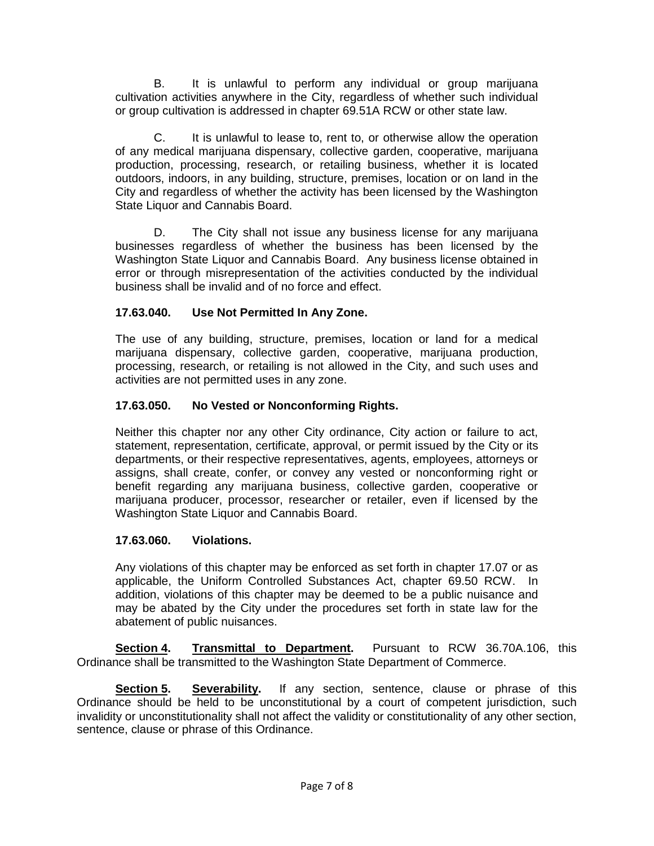B. It is unlawful to perform any individual or group marijuana cultivation activities anywhere in the City, regardless of whether such individual or group cultivation is addressed in chapter 69.51A RCW or other state law.

C. It is unlawful to lease to, rent to, or otherwise allow the operation of any medical marijuana dispensary, collective garden, cooperative, marijuana production, processing, research, or retailing business, whether it is located outdoors, indoors, in any building, structure, premises, location or on land in the City and regardless of whether the activity has been licensed by the Washington State Liquor and Cannabis Board.

D. The City shall not issue any business license for any marijuana businesses regardless of whether the business has been licensed by the Washington State Liquor and Cannabis Board. Any business license obtained in error or through misrepresentation of the activities conducted by the individual business shall be invalid and of no force and effect.

## **17.63.040. Use Not Permitted In Any Zone.**

The use of any building, structure, premises, location or land for a medical marijuana dispensary, collective garden, cooperative, marijuana production, processing, research, or retailing is not allowed in the City, and such uses and activities are not permitted uses in any zone.

# **17.63.050. No Vested or Nonconforming Rights.**

Neither this chapter nor any other City ordinance, City action or failure to act, statement, representation, certificate, approval, or permit issued by the City or its departments, or their respective representatives, agents, employees, attorneys or assigns, shall create, confer, or convey any vested or nonconforming right or benefit regarding any marijuana business, collective garden, cooperative or marijuana producer, processor, researcher or retailer, even if licensed by the Washington State Liquor and Cannabis Board.

## **17.63.060. Violations.**

Any violations of this chapter may be enforced as set forth in chapter 17.07 or as applicable, the Uniform Controlled Substances Act, chapter 69.50 RCW. In addition, violations of this chapter may be deemed to be a public nuisance and may be abated by the City under the procedures set forth in state law for the abatement of public nuisances.

**Section 4. Transmittal to Department.** Pursuant to RCW 36.70A.106, this Ordinance shall be transmitted to the Washington State Department of Commerce.

**Section 5. Severability.** If any section, sentence, clause or phrase of this Ordinance should be held to be unconstitutional by a court of competent jurisdiction, such invalidity or unconstitutionality shall not affect the validity or constitutionality of any other section, sentence, clause or phrase of this Ordinance.